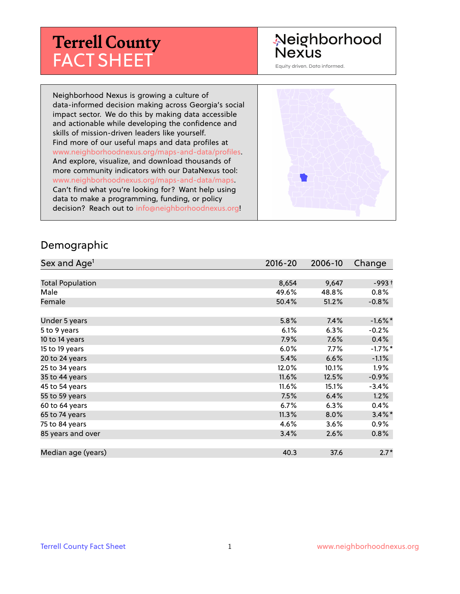# **Terrell County** FACT SHEET

# Neighborhood Nexus

Equity driven. Data informed.

Neighborhood Nexus is growing a culture of data-informed decision making across Georgia's social impact sector. We do this by making data accessible and actionable while developing the confidence and skills of mission-driven leaders like yourself. Find more of our useful maps and data profiles at www.neighborhoodnexus.org/maps-and-data/profiles. And explore, visualize, and download thousands of more community indicators with our DataNexus tool: www.neighborhoodnexus.org/maps-and-data/maps. Can't find what you're looking for? Want help using data to make a programming, funding, or policy decision? Reach out to [info@neighborhoodnexus.org!](mailto:info@neighborhoodnexus.org)



#### Demographic

| Sex and Age <sup>1</sup> | $2016 - 20$ | 2006-10 | Change     |
|--------------------------|-------------|---------|------------|
|                          |             |         |            |
| <b>Total Population</b>  | 8,654       | 9,647   | $-993+$    |
| Male                     | 49.6%       | 48.8%   | 0.8%       |
| Female                   | 50.4%       | 51.2%   | $-0.8\%$   |
|                          |             |         |            |
| Under 5 years            | 5.8%        | 7.4%    | $-1.6\%$ * |
| 5 to 9 years             | 6.1%        | 6.3%    | $-0.2%$    |
| 10 to 14 years           | $7.9\%$     | 7.6%    | 0.4%       |
| 15 to 19 years           | 6.0%        | 7.7%    | $-1.7%$ *  |
| 20 to 24 years           | 5.4%        | 6.6%    | $-1.1%$    |
| 25 to 34 years           | 12.0%       | 10.1%   | 1.9%       |
| 35 to 44 years           | 11.6%       | 12.5%   | $-0.9\%$   |
| 45 to 54 years           | 11.6%       | 15.1%   | $-3.4%$    |
| 55 to 59 years           | 7.5%        | 6.4%    | 1.2%       |
| 60 to 64 years           | $6.7\%$     | 6.3%    | 0.4%       |
| 65 to 74 years           | 11.3%       | 8.0%    | $3.4\%$ *  |
| 75 to 84 years           | 4.6%        | 3.6%    | $0.9\%$    |
| 85 years and over        | 3.4%        | 2.6%    | $0.8\%$    |
|                          |             |         |            |
| Median age (years)       | 40.3        | 37.6    | $2.7*$     |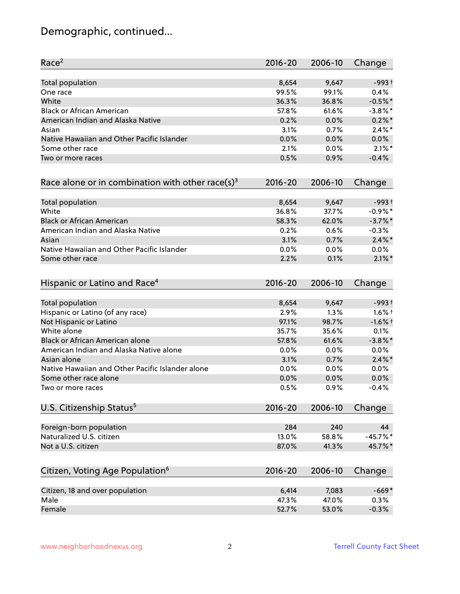# Demographic, continued...

| Race <sup>2</sup>                                            | $2016 - 20$ | 2006-10 | Change     |
|--------------------------------------------------------------|-------------|---------|------------|
| <b>Total population</b>                                      | 8,654       | 9,647   | $-993+$    |
| One race                                                     | 99.5%       | 99.1%   | 0.4%       |
| White                                                        | 36.3%       | 36.8%   | $-0.5%$ *  |
| <b>Black or African American</b>                             | 57.8%       | 61.6%   | $-3.8\%$ * |
| American Indian and Alaska Native                            | 0.2%        | 0.0%    | $0.2%$ *   |
| Asian                                                        | 3.1%        | 0.7%    | $2.4\%$ *  |
| Native Hawaiian and Other Pacific Islander                   | 0.0%        | 0.0%    | 0.0%       |
| Some other race                                              | 2.1%        | 0.0%    | $2.1\%$ *  |
| Two or more races                                            | 0.5%        | 0.9%    | $-0.4%$    |
| Race alone or in combination with other race(s) <sup>3</sup> | $2016 - 20$ | 2006-10 | Change     |
| Total population                                             | 8,654       | 9,647   | $-993+$    |
| White                                                        | 36.8%       | 37.7%   | $-0.9%$ *  |
| <b>Black or African American</b>                             | 58.3%       | 62.0%   | $-3.7\%$ * |
| American Indian and Alaska Native                            | 0.2%        | 0.6%    | $-0.3%$    |
| Asian                                                        | 3.1%        | 0.7%    | $2.4\%$ *  |
| Native Hawaiian and Other Pacific Islander                   | 0.0%        | 0.0%    | 0.0%       |
| Some other race                                              | 2.2%        | 0.1%    | $2.1\%$ *  |
| Hispanic or Latino and Race <sup>4</sup>                     | $2016 - 20$ | 2006-10 | Change     |
| <b>Total population</b>                                      | 8,654       | 9,647   | $-993+$    |
| Hispanic or Latino (of any race)                             | 2.9%        | 1.3%    | $1.6\%$ †  |
| Not Hispanic or Latino                                       | 97.1%       | 98.7%   | $-1.6%$ †  |
| White alone                                                  | 35.7%       | 35.6%   | 0.1%       |
| Black or African American alone                              | 57.8%       | 61.6%   | $-3.8\%$ * |
| American Indian and Alaska Native alone                      | 0.0%        | $0.0\%$ | 0.0%       |
| Asian alone                                                  | 3.1%        | 0.7%    | $2.4\%$ *  |
| Native Hawaiian and Other Pacific Islander alone             | 0.0%        | 0.0%    | 0.0%       |
| Some other race alone                                        | 0.0%        | 0.0%    | 0.0%       |
| Two or more races                                            | 0.5%        | 0.9%    | $-0.4%$    |
| U.S. Citizenship Status <sup>5</sup>                         | $2016 - 20$ | 2006-10 | Change     |
| Foreign-born population                                      | 284         | 240     | 44         |
| Naturalized U.S. citizen                                     | 13.0%       | 58.8%   | $-45.7%$ * |
| Not a U.S. citizen                                           | 87.0%       | 41.3%   | 45.7%*     |
| Citizen, Voting Age Population <sup>6</sup>                  | $2016 - 20$ | 2006-10 | Change     |
|                                                              |             |         |            |
| Citizen, 18 and over population                              | 6,414       | 7,083   | $-669*$    |
| Male                                                         | 47.3%       | 47.0%   | 0.3%       |
| Female                                                       | 52.7%       | 53.0%   | $-0.3%$    |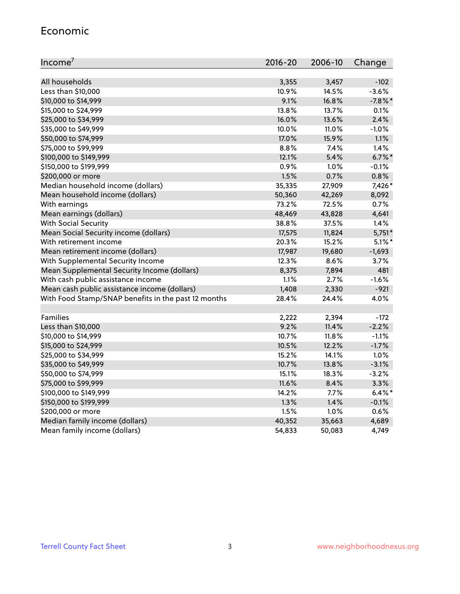#### Economic

| Income <sup>7</sup>                                 | $2016 - 20$ | 2006-10 | Change     |
|-----------------------------------------------------|-------------|---------|------------|
|                                                     |             |         |            |
| All households                                      | 3,355       | 3,457   | $-102$     |
| Less than \$10,000                                  | 10.9%       | 14.5%   | $-3.6%$    |
| \$10,000 to \$14,999                                | 9.1%        | 16.8%   | $-7.8\%$ * |
| \$15,000 to \$24,999                                | 13.8%       | 13.7%   | 0.1%       |
| \$25,000 to \$34,999                                | 16.0%       | 13.6%   | 2.4%       |
| \$35,000 to \$49,999                                | 10.0%       | 11.0%   | $-1.0%$    |
| \$50,000 to \$74,999                                | 17.0%       | 15.9%   | 1.1%       |
| \$75,000 to \$99,999                                | 8.8%        | 7.4%    | 1.4%       |
| \$100,000 to \$149,999                              | 12.1%       | 5.4%    | $6.7\%$ *  |
| \$150,000 to \$199,999                              | 0.9%        | 1.0%    | $-0.1%$    |
| \$200,000 or more                                   | 1.5%        | 0.7%    | 0.8%       |
| Median household income (dollars)                   | 35,335      | 27,909  | 7,426*     |
| Mean household income (dollars)                     | 50,360      | 42,269  | 8,092      |
| With earnings                                       | 73.2%       | 72.5%   | 0.7%       |
| Mean earnings (dollars)                             | 48,469      | 43,828  | 4,641      |
| <b>With Social Security</b>                         | 38.8%       | 37.5%   | 1.4%       |
| Mean Social Security income (dollars)               | 17,575      | 11,824  | $5,751*$   |
| With retirement income                              | 20.3%       | 15.2%   | $5.1\%$ *  |
| Mean retirement income (dollars)                    | 17,987      | 19,680  | $-1,693$   |
| With Supplemental Security Income                   | 12.3%       | 8.6%    | 3.7%       |
| Mean Supplemental Security Income (dollars)         | 8,375       | 7,894   | 481        |
| With cash public assistance income                  | 1.1%        | 2.7%    | $-1.6%$    |
| Mean cash public assistance income (dollars)        | 1,408       | 2,330   | $-921$     |
| With Food Stamp/SNAP benefits in the past 12 months | 28.4%       | 24.4%   | 4.0%       |
|                                                     |             |         |            |
| Families                                            | 2,222       | 2,394   | $-172$     |
| Less than \$10,000                                  | 9.2%        | 11.4%   | $-2.2%$    |
| \$10,000 to \$14,999                                | 10.7%       | 11.8%   | $-1.1%$    |
| \$15,000 to \$24,999                                | 10.5%       | 12.2%   | $-1.7%$    |
| \$25,000 to \$34,999                                | 15.2%       | 14.1%   | 1.0%       |
| \$35,000 to \$49,999                                | 10.7%       | 13.8%   | $-3.1%$    |
| \$50,000 to \$74,999                                | 15.1%       | 18.3%   | $-3.2%$    |
| \$75,000 to \$99,999                                | 11.6%       | 8.4%    | 3.3%       |
| \$100,000 to \$149,999                              | 14.2%       | $7.7\%$ | $6.4\%$ *  |
| \$150,000 to \$199,999                              | 1.3%        | 1.4%    | $-0.1%$    |
| \$200,000 or more                                   | 1.5%        | 1.0%    | 0.6%       |
| Median family income (dollars)                      | 40,352      | 35,663  | 4,689      |
| Mean family income (dollars)                        | 54,833      | 50,083  | 4,749      |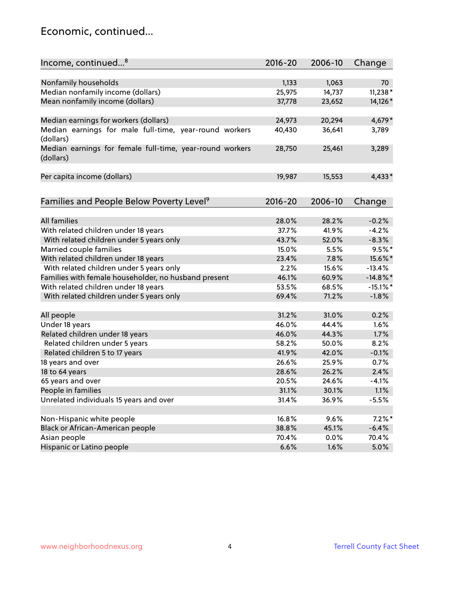### Economic, continued...

| Income, continued <sup>8</sup>                                        | $2016 - 20$ | 2006-10 | Change      |
|-----------------------------------------------------------------------|-------------|---------|-------------|
|                                                                       |             |         |             |
| Nonfamily households                                                  | 1,133       | 1,063   | 70          |
| Median nonfamily income (dollars)                                     | 25,975      | 14,737  | 11,238*     |
| Mean nonfamily income (dollars)                                       | 37,778      | 23,652  | 14,126*     |
| Median earnings for workers (dollars)                                 | 24,973      | 20,294  | 4,679*      |
| Median earnings for male full-time, year-round workers                | 40,430      | 36,641  | 3,789       |
| (dollars)                                                             |             |         |             |
| Median earnings for female full-time, year-round workers<br>(dollars) | 28,750      | 25,461  | 3,289       |
| Per capita income (dollars)                                           | 19,987      | 15,553  | $4,433*$    |
|                                                                       |             |         |             |
| Families and People Below Poverty Level <sup>9</sup>                  | $2016 - 20$ | 2006-10 | Change      |
|                                                                       |             |         |             |
| <b>All families</b>                                                   | 28.0%       | 28.2%   | $-0.2%$     |
| With related children under 18 years                                  | 37.7%       | 41.9%   | $-4.2%$     |
| With related children under 5 years only                              | 43.7%       | 52.0%   | $-8.3%$     |
| Married couple families                                               | 15.0%       | 5.5%    | $9.5%$ *    |
| With related children under 18 years                                  | 23.4%       | 7.8%    | 15.6%*      |
| With related children under 5 years only                              | 2.2%        | 15.6%   | $-13.4%$    |
| Families with female householder, no husband present                  | 46.1%       | 60.9%   | $-14.8\%$ * |
| With related children under 18 years                                  | 53.5%       | 68.5%   | $-15.1\%$ * |
| With related children under 5 years only                              | 69.4%       | 71.2%   | $-1.8%$     |
| All people                                                            | 31.2%       | 31.0%   | 0.2%        |
| Under 18 years                                                        | 46.0%       | 44.4%   | 1.6%        |
| Related children under 18 years                                       | 46.0%       | 44.3%   | 1.7%        |
| Related children under 5 years                                        | 58.2%       | 50.0%   | 8.2%        |
| Related children 5 to 17 years                                        | 41.9%       | 42.0%   | $-0.1%$     |
| 18 years and over                                                     | 26.6%       | 25.9%   | 0.7%        |
| 18 to 64 years                                                        | 28.6%       | 26.2%   | 2.4%        |
| 65 years and over                                                     | 20.5%       | 24.6%   | $-4.1%$     |
| People in families                                                    | 31.1%       | 30.1%   | 1.1%        |
| Unrelated individuals 15 years and over                               | 31.4%       | 36.9%   | $-5.5%$     |
|                                                                       |             |         |             |
| Non-Hispanic white people                                             | 16.8%       | 9.6%    | $7.2\%$ *   |
| Black or African-American people                                      | 38.8%       | 45.1%   | $-6.4%$     |
| Asian people                                                          | 70.4%       | 0.0%    | 70.4%       |
| Hispanic or Latino people                                             | 6.6%        | 1.6%    | 5.0%        |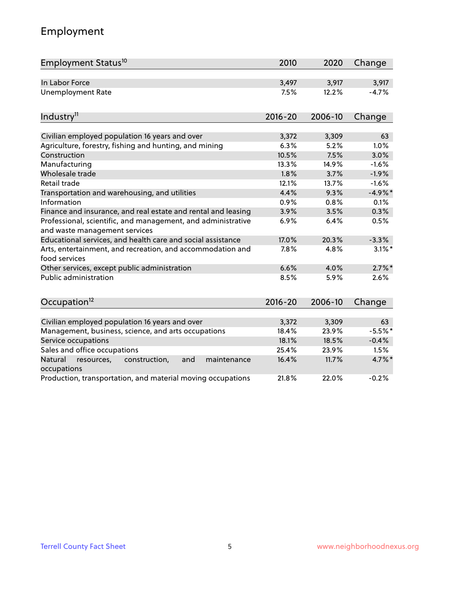# Employment

| Employment Status <sup>10</sup>                                             | 2010          | 2020          | Change             |
|-----------------------------------------------------------------------------|---------------|---------------|--------------------|
| In Labor Force                                                              | 3,497         | 3,917         | 3,917              |
| <b>Unemployment Rate</b>                                                    | 7.5%          | 12.2%         | $-4.7%$            |
| Industry <sup>11</sup>                                                      | $2016 - 20$   | 2006-10       | Change             |
|                                                                             |               |               |                    |
| Civilian employed population 16 years and over                              | 3,372         | 3,309         | 63                 |
| Agriculture, forestry, fishing and hunting, and mining                      | 6.3%          | 5.2%          | 1.0%               |
| Construction                                                                | 10.5%         | 7.5%          | 3.0%               |
| Manufacturing                                                               | 13.3%         | 14.9%         | $-1.6%$            |
| Wholesale trade<br>Retail trade                                             | 1.8%<br>12.1% | 3.7%<br>13.7% | $-1.9%$<br>$-1.6%$ |
|                                                                             | 4.4%          | 9.3%          | $-4.9%$ *          |
| Transportation and warehousing, and utilities<br>Information                | 0.9%          | 0.8%          | 0.1%               |
| Finance and insurance, and real estate and rental and leasing               | 3.9%          | 3.5%          | 0.3%               |
| Professional, scientific, and management, and administrative                | 6.9%          | 6.4%          | 0.5%               |
| and waste management services                                               |               |               |                    |
| Educational services, and health care and social assistance                 | 17.0%         | 20.3%         | $-3.3%$            |
| Arts, entertainment, and recreation, and accommodation and<br>food services | 7.8%          | 4.8%          | $3.1\%$ *          |
| Other services, except public administration                                | 6.6%          | 4.0%          | $2.7\%$ *          |
| <b>Public administration</b>                                                | 8.5%          | 5.9%          | 2.6%               |
| Occupation <sup>12</sup>                                                    | $2016 - 20$   | 2006-10       | Change             |
|                                                                             |               |               |                    |
| Civilian employed population 16 years and over                              | 3,372         | 3,309         | 63                 |
| Management, business, science, and arts occupations                         | 18.4%         | 23.9%         | $-5.5%$            |
| Service occupations                                                         | 18.1%         | 18.5%         | $-0.4%$            |
| Sales and office occupations                                                | 25.4%         | 23.9%         | 1.5%               |
| Natural<br>resources,<br>construction,<br>and<br>maintenance<br>occupations | 16.4%         | 11.7%         | 4.7%*              |
| Production, transportation, and material moving occupations                 | 21.8%         | 22.0%         | $-0.2%$            |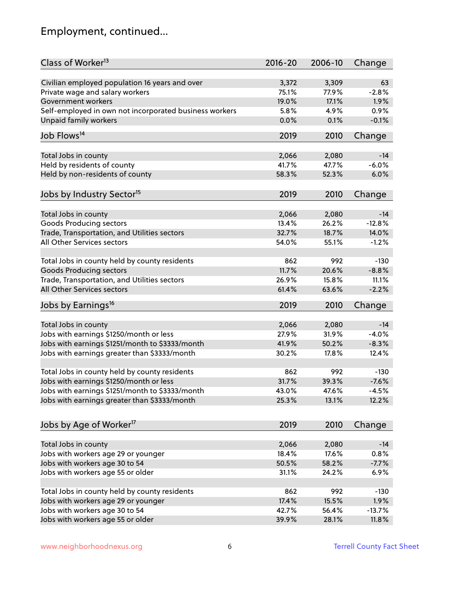# Employment, continued...

| Class of Worker <sup>13</sup>                          | $2016 - 20$    | 2006-10 | Change   |
|--------------------------------------------------------|----------------|---------|----------|
| Civilian employed population 16 years and over         | 3,372          | 3,309   | 63       |
| Private wage and salary workers                        | 75.1%          | 77.9%   | $-2.8%$  |
| Government workers                                     | 19.0%          | 17.1%   | 1.9%     |
| Self-employed in own not incorporated business workers | 5.8%           | 4.9%    | 0.9%     |
| Unpaid family workers                                  | 0.0%           | 0.1%    | $-0.1%$  |
|                                                        |                |         |          |
| Job Flows <sup>14</sup>                                | 2019           | 2010    | Change   |
|                                                        | 2,066          | 2,080   | $-14$    |
| Total Jobs in county<br>Held by residents of county    | 41.7%          | 47.7%   | $-6.0%$  |
|                                                        | 58.3%          | 52.3%   | 6.0%     |
| Held by non-residents of county                        |                |         |          |
| Jobs by Industry Sector <sup>15</sup>                  | 2019           | 2010    | Change   |
| Total Jobs in county                                   | 2,066          | 2,080   | $-14$    |
| <b>Goods Producing sectors</b>                         | 13.4%          | 26.2%   | $-12.8%$ |
| Trade, Transportation, and Utilities sectors           | 32.7%          | 18.7%   | 14.0%    |
| All Other Services sectors                             | 54.0%          | 55.1%   | $-1.2%$  |
|                                                        |                |         |          |
| Total Jobs in county held by county residents          | 862            | 992     | $-130$   |
| <b>Goods Producing sectors</b>                         | 11.7%          | 20.6%   | $-8.8%$  |
| Trade, Transportation, and Utilities sectors           | 26.9%          | 15.8%   | 11.1%    |
| All Other Services sectors                             | 61.4%          | 63.6%   | $-2.2%$  |
| Jobs by Earnings <sup>16</sup>                         | 2019           | 2010    | Change   |
|                                                        |                |         | $-14$    |
| Total Jobs in county                                   | 2,066<br>27.9% | 2,080   |          |
| Jobs with earnings \$1250/month or less                |                | 31.9%   | $-4.0%$  |
| Jobs with earnings \$1251/month to \$3333/month        | 41.9%          | 50.2%   | $-8.3%$  |
| Jobs with earnings greater than \$3333/month           | 30.2%          | 17.8%   | 12.4%    |
| Total Jobs in county held by county residents          | 862            | 992     | $-130$   |
| Jobs with earnings \$1250/month or less                | 31.7%          | 39.3%   | $-7.6%$  |
| Jobs with earnings \$1251/month to \$3333/month        | 43.0%          | 47.6%   | $-4.5%$  |
| Jobs with earnings greater than \$3333/month           | 25.3%          | 13.1%   | 12.2%    |
|                                                        |                |         |          |
| Jobs by Age of Worker <sup>17</sup>                    | 2019           | 2010    | Change   |
| Total Jobs in county                                   | 2,066          | 2,080   | $-14$    |
| Jobs with workers age 29 or younger                    | 18.4%          | 17.6%   | 0.8%     |
| Jobs with workers age 30 to 54                         | 50.5%          | 58.2%   | $-7.7%$  |
| Jobs with workers age 55 or older                      | 31.1%          | 24.2%   | 6.9%     |
|                                                        |                |         |          |
| Total Jobs in county held by county residents          | 862            | 992     | $-130$   |
| Jobs with workers age 29 or younger                    | 17.4%          | 15.5%   | 1.9%     |
| Jobs with workers age 30 to 54                         | 42.7%          | 56.4%   | $-13.7%$ |
| Jobs with workers age 55 or older                      | 39.9%          | 28.1%   | 11.8%    |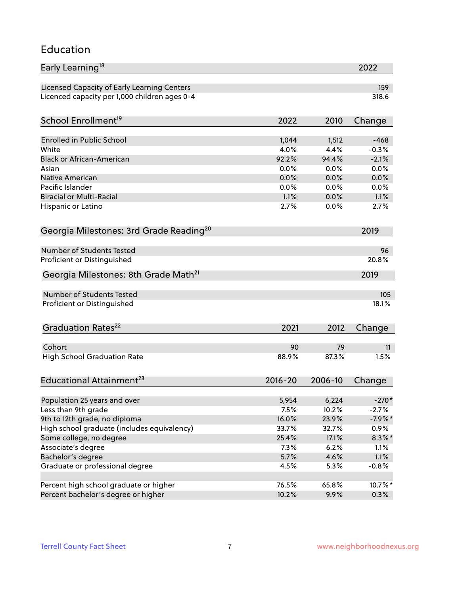### Education

| Early Learning <sup>18</sup>                        |             |         | 2022      |
|-----------------------------------------------------|-------------|---------|-----------|
| Licensed Capacity of Early Learning Centers         |             |         | 159       |
| Licenced capacity per 1,000 children ages 0-4       |             |         | 318.6     |
| School Enrollment <sup>19</sup>                     | 2022        | 2010    | Change    |
|                                                     |             |         |           |
| <b>Enrolled in Public School</b>                    | 1,044       | 1,512   | $-468$    |
| White                                               | 4.0%        | 4.4%    | $-0.3%$   |
| <b>Black or African-American</b>                    | 92.2%       | 94.4%   | $-2.1%$   |
| Asian                                               | 0.0%        | 0.0%    | 0.0%      |
| <b>Native American</b>                              | 0.0%        | 0.0%    | 0.0%      |
| Pacific Islander                                    | 0.0%        | 0.0%    | 0.0%      |
| <b>Biracial or Multi-Racial</b>                     | 1.1%        | 0.0%    | 1.1%      |
| Hispanic or Latino                                  | 2.7%        | 0.0%    | 2.7%      |
| Georgia Milestones: 3rd Grade Reading <sup>20</sup> |             |         | 2019      |
| <b>Number of Students Tested</b>                    |             |         |           |
|                                                     |             |         | 96        |
| Proficient or Distinguished                         |             |         | 20.8%     |
| Georgia Milestones: 8th Grade Math <sup>21</sup>    |             |         | 2019      |
| <b>Number of Students Tested</b>                    |             |         | 105       |
| Proficient or Distinguished                         |             |         | 18.1%     |
| Graduation Rates <sup>22</sup>                      | 2021        | 2012    | Change    |
|                                                     |             |         |           |
| Cohort                                              | 90          | 79      | 11        |
| <b>High School Graduation Rate</b>                  | 88.9%       | 87.3%   | 1.5%      |
| Educational Attainment <sup>23</sup>                | $2016 - 20$ | 2006-10 | Change    |
|                                                     |             |         |           |
| Population 25 years and over                        | 5,954       | 6,224   | $-270*$   |
| Less than 9th grade                                 | 7.5%        | 10.2%   | $-2.7\%$  |
| 9th to 12th grade, no diploma                       | 16.0%       | 23.9%   | $-7.9%$ * |
| High school graduate (includes equivalency)         | 33.7%       | 32.7%   | 0.9%      |
| Some college, no degree                             | 25.4%       | 17.1%   | $8.3\%$ * |
| Associate's degree                                  | 7.3%        | 6.2%    | 1.1%      |
| Bachelor's degree                                   | 5.7%        | 4.6%    | 1.1%      |
| Graduate or professional degree                     | 4.5%        | 5.3%    | $-0.8%$   |
| Percent high school graduate or higher              | 76.5%       | 65.8%   | 10.7%*    |
| Percent bachelor's degree or higher                 | 10.2%       | 9.9%    | 0.3%      |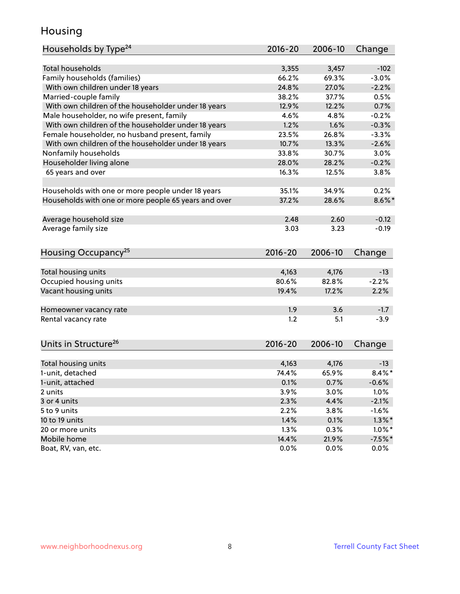### Housing

| Households by Type <sup>24</sup>                     | 2016-20       | 2006-10       | Change                 |
|------------------------------------------------------|---------------|---------------|------------------------|
|                                                      |               |               |                        |
| <b>Total households</b>                              | 3,355         | 3,457         | $-102$                 |
| Family households (families)                         | 66.2%         | 69.3%         | $-3.0%$                |
| With own children under 18 years                     | 24.8%         | 27.0%         | $-2.2%$                |
| Married-couple family                                | 38.2%         | 37.7%         | 0.5%                   |
| With own children of the householder under 18 years  | 12.9%         | 12.2%         | 0.7%                   |
| Male householder, no wife present, family            | 4.6%          | 4.8%          | $-0.2%$                |
| With own children of the householder under 18 years  | 1.2%          | 1.6%          | $-0.3%$                |
| Female householder, no husband present, family       | 23.5%         | 26.8%         | $-3.3%$                |
| With own children of the householder under 18 years  | 10.7%         | 13.3%         | $-2.6%$                |
| Nonfamily households                                 | 33.8%         | 30.7%         | 3.0%                   |
| Householder living alone                             | 28.0%         | 28.2%         | $-0.2%$                |
| 65 years and over                                    | 16.3%         | 12.5%         | 3.8%                   |
| Households with one or more people under 18 years    | 35.1%         | 34.9%         | 0.2%                   |
| Households with one or more people 65 years and over | 37.2%         | 28.6%         | $8.6\%$ *              |
|                                                      |               |               |                        |
| Average household size                               | 2.48          | 2.60          | $-0.12$                |
| Average family size                                  | 3.03          | 3.23          | $-0.19$                |
| Housing Occupancy <sup>25</sup>                      | $2016 - 20$   | 2006-10       | Change                 |
|                                                      |               |               |                        |
| Total housing units                                  | 4,163         | 4,176         | $-13$                  |
| Occupied housing units                               | 80.6%         | 82.8%         | $-2.2%$                |
| Vacant housing units                                 | 19.4%         | 17.2%         | 2.2%                   |
| Homeowner vacancy rate                               | 1.9           | 3.6           | $-1.7$                 |
| Rental vacancy rate                                  | 1.2           | 5.1           | $-3.9$                 |
|                                                      |               |               |                        |
| Units in Structure <sup>26</sup>                     | 2016-20       | 2006-10       | Change                 |
| Total housing units                                  | 4,163         | 4,176         | $-13$                  |
| 1-unit, detached                                     | 74.4%         | 65.9%         | $8.4\%$ *              |
| 1-unit, attached                                     | 0.1%          | 0.7%          | $-0.6%$                |
| 2 units                                              | 3.9%          | 3.0%          | 1.0%                   |
| 3 or 4 units                                         | 2.3%          | 4.4%          | $-2.1%$                |
| 5 to 9 units                                         | 2.2%          | 3.8%          | $-1.6%$                |
|                                                      | 1.4%          |               | $1.3\%$ *              |
| 10 to 19 units<br>20 or more units                   |               | 0.1%          |                        |
| Mobile home                                          | 1.3%<br>14.4% | 0.3%<br>21.9% | $1.0\%$ *<br>$-7.5%$ * |
| Boat, RV, van, etc.                                  | 0.0%          | 0.0%          | 0.0%                   |
|                                                      |               |               |                        |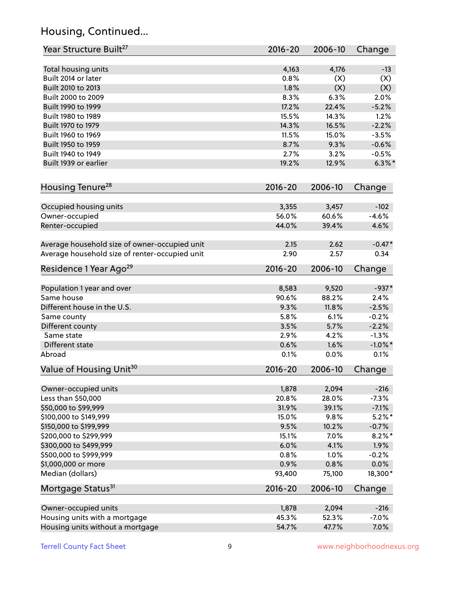# Housing, Continued...

| Year Structure Built <sup>27</sup>             | 2016-20       | 2006-10      | Change            |
|------------------------------------------------|---------------|--------------|-------------------|
|                                                |               |              |                   |
| Total housing units<br>Built 2014 or later     | 4,163<br>0.8% | 4,176<br>(X) | $-13$             |
| Built 2010 to 2013                             | 1.8%          | (X)          | (X)<br>(X)        |
| Built 2000 to 2009                             | 8.3%          | 6.3%         | 2.0%              |
|                                                | 17.2%         | 22.4%        |                   |
| Built 1990 to 1999                             |               |              | $-5.2%$           |
| Built 1980 to 1989                             | 15.5%         | 14.3%        | 1.2%              |
| Built 1970 to 1979                             | 14.3%         | 16.5%        | $-2.2%$           |
| Built 1960 to 1969                             | 11.5%         | 15.0%        | $-3.5%$           |
| Built 1950 to 1959                             | 8.7%          | 9.3%         | $-0.6%$           |
| Built 1940 to 1949                             | 2.7%          | 3.2%         | $-0.5%$           |
| Built 1939 or earlier                          | 19.2%         | 12.9%        | $6.3\%$ *         |
| Housing Tenure <sup>28</sup>                   | 2016-20       | 2006-10      | Change            |
|                                                |               |              |                   |
| Occupied housing units                         | 3,355         | 3,457        | $-102$<br>$-4.6%$ |
| Owner-occupied                                 | 56.0%         | 60.6%        |                   |
| Renter-occupied                                | 44.0%         | 39.4%        | 4.6%              |
| Average household size of owner-occupied unit  | 2.15          | 2.62         | $-0.47*$          |
| Average household size of renter-occupied unit | 2.90          | 2.57         | 0.34              |
| Residence 1 Year Ago <sup>29</sup>             | 2016-20       | 2006-10      | Change            |
| Population 1 year and over                     | 8,583         | 9,520        | $-937*$           |
| Same house                                     | 90.6%         | 88.2%        | 2.4%              |
| Different house in the U.S.                    | 9.3%          | 11.8%        | $-2.5%$           |
| Same county                                    | 5.8%          | 6.1%         | $-0.2%$           |
| Different county                               | 3.5%          | 5.7%         | $-2.2%$           |
| Same state                                     | 2.9%          | 4.2%         | $-1.3%$           |
| Different state                                | 0.6%          | 1.6%         | $-1.0\%$ *        |
| Abroad                                         | 0.1%          | 0.0%         | 0.1%              |
| Value of Housing Unit <sup>30</sup>            | 2016-20       | 2006-10      | Change            |
|                                                |               |              |                   |
| Owner-occupied units                           | 1,878         | 2,094        | $-216$            |
| Less than \$50,000                             | 20.8%         | 28.0%        | $-7.3%$           |
| \$50,000 to \$99,999                           | 31.9%         | 39.1%        | $-7.1%$           |
| \$100,000 to \$149,999                         | 15.0%         | 9.8%         | $5.2\%$ *         |
| \$150,000 to \$199,999                         | 9.5%          | 10.2%        | $-0.7%$           |
| \$200,000 to \$299,999                         | 15.1%         | 7.0%         | $8.2\%$ *         |
| \$300,000 to \$499,999                         | 6.0%          | 4.1%         | 1.9%              |
| \$500,000 to \$999,999                         | 0.8%          | 1.0%         | $-0.2%$           |
| \$1,000,000 or more                            | 0.9%          | 0.8%         | 0.0%              |
| Median (dollars)                               | 93,400        | 75,100       | 18,300*           |
| Mortgage Status <sup>31</sup>                  | $2016 - 20$   | 2006-10      | Change            |
|                                                |               |              |                   |
| Owner-occupied units                           | 1,878         | 2,094        | $-216$            |
| Housing units with a mortgage                  | 45.3%         | 52.3%        | $-7.0%$           |
| Housing units without a mortgage               | 54.7%         | 47.7%        | 7.0%              |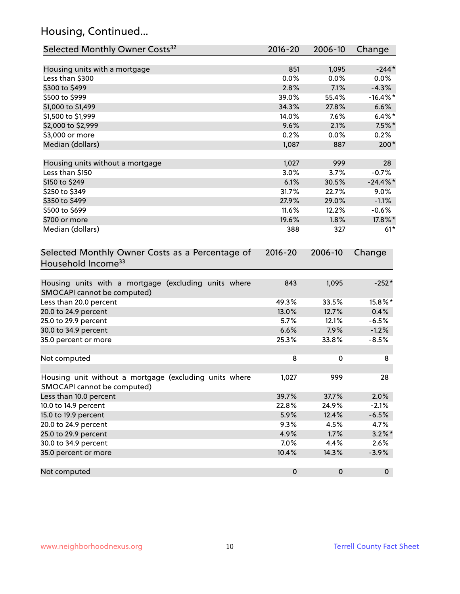# Housing, Continued...

| Selected Monthly Owner Costs <sup>32</sup>                                            | 2016-20     | 2006-10   | Change      |
|---------------------------------------------------------------------------------------|-------------|-----------|-------------|
| Housing units with a mortgage                                                         | 851         | 1,095     | $-244*$     |
| Less than \$300                                                                       | 0.0%        | 0.0%      | $0.0\%$     |
| \$300 to \$499                                                                        | 2.8%        | 7.1%      | $-4.3%$     |
| \$500 to \$999                                                                        | 39.0%       | 55.4%     | $-16.4\%$ * |
| \$1,000 to \$1,499                                                                    | 34.3%       | 27.8%     | 6.6%        |
| \$1,500 to \$1,999                                                                    | 14.0%       | 7.6%      | $6.4\%$ *   |
| \$2,000 to \$2,999                                                                    | 9.6%        | 2.1%      | $7.5\%$ *   |
| \$3,000 or more                                                                       | 0.2%        | 0.0%      | 0.2%        |
| Median (dollars)                                                                      | 1,087       | 887       | 200*        |
|                                                                                       |             |           |             |
| Housing units without a mortgage                                                      | 1,027       | 999       | 28          |
| Less than \$150                                                                       | 3.0%        | 3.7%      | $-0.7%$     |
| \$150 to \$249                                                                        | 6.1%        | 30.5%     | $-24.4\%$ * |
| \$250 to \$349                                                                        | 31.7%       | 22.7%     | 9.0%        |
| \$350 to \$499                                                                        | 27.9%       | 29.0%     | $-1.1%$     |
| \$500 to \$699                                                                        | 11.6%       | 12.2%     | $-0.6%$     |
| \$700 or more                                                                         | 19.6%       | 1.8%      | 17.8%*      |
| Median (dollars)                                                                      | 388         | 327       | $61*$       |
| Selected Monthly Owner Costs as a Percentage of<br>Household Income <sup>33</sup>     | $2016 - 20$ | 2006-10   | Change      |
| Housing units with a mortgage (excluding units where<br>SMOCAPI cannot be computed)   | 843         | 1,095     | $-252*$     |
| Less than 20.0 percent                                                                | 49.3%       | 33.5%     | 15.8%*      |
| 20.0 to 24.9 percent                                                                  | 13.0%       | 12.7%     | 0.4%        |
| 25.0 to 29.9 percent                                                                  | 5.7%        | 12.1%     | $-6.5%$     |
| 30.0 to 34.9 percent                                                                  | 6.6%        | 7.9%      | $-1.2%$     |
| 35.0 percent or more                                                                  | 25.3%       | 33.8%     | $-8.5%$     |
| Not computed                                                                          | 8           | 0         | 8           |
| Housing unit without a mortgage (excluding units where<br>SMOCAPI cannot be computed) | 1,027       | 999       | 28          |
| Less than 10.0 percent                                                                | 39.7%       | 37.7%     | 2.0%        |
| 10.0 to 14.9 percent                                                                  | 22.8%       | 24.9%     | $-2.1%$     |
| 15.0 to 19.9 percent                                                                  | 5.9%        | 12.4%     | $-6.5%$     |
| 20.0 to 24.9 percent                                                                  | 9.3%        | 4.5%      | 4.7%        |
| 25.0 to 29.9 percent                                                                  | 4.9%        | 1.7%      | $3.2\%$ *   |
| 30.0 to 34.9 percent                                                                  | 7.0%        | 4.4%      | 2.6%        |
| 35.0 percent or more                                                                  | 10.4%       | 14.3%     | $-3.9%$     |
| Not computed                                                                          | $\pmb{0}$   | $\pmb{0}$ | $\mathbf 0$ |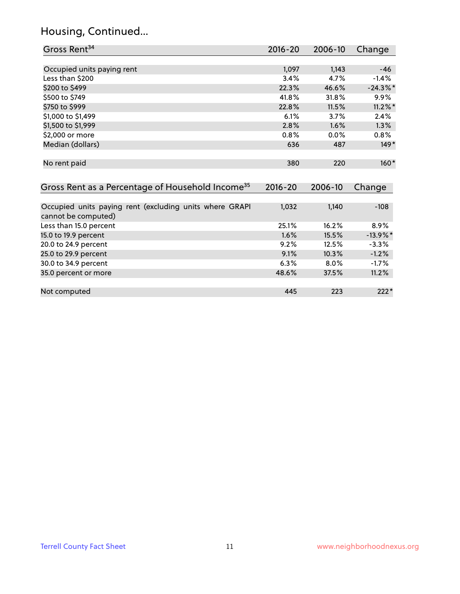# Housing, Continued...

| Gross Rent <sup>34</sup>                                                       | 2016-20     | 2006-10 | Change      |
|--------------------------------------------------------------------------------|-------------|---------|-------------|
|                                                                                |             |         |             |
| Occupied units paying rent                                                     | 1,097       | 1,143   | $-46$       |
| Less than \$200                                                                | 3.4%        | 4.7%    | $-1.4%$     |
| \$200 to \$499                                                                 | 22.3%       | 46.6%   | $-24.3\%$ * |
| \$500 to \$749                                                                 | 41.8%       | 31.8%   | 9.9%        |
| \$750 to \$999                                                                 | 22.8%       | 11.5%   | $11.2\%$ *  |
| \$1,000 to \$1,499                                                             | 6.1%        | 3.7%    | 2.4%        |
| \$1,500 to \$1,999                                                             | 2.8%        | 1.6%    | 1.3%        |
| \$2,000 or more                                                                | 0.8%        | 0.0%    | $0.8\%$     |
| Median (dollars)                                                               | 636         | 487     | $149*$      |
| No rent paid                                                                   | 380         | 220     | $160*$      |
| Gross Rent as a Percentage of Household Income <sup>35</sup>                   | $2016 - 20$ | 2006-10 | Change      |
|                                                                                |             |         |             |
| Occupied units paying rent (excluding units where GRAPI<br>cannot be computed) | 1,032       | 1,140   | $-108$      |
| Less than 15.0 percent                                                         | 25.1%       | 16.2%   | 8.9%        |
| 15.0 to 19.9 percent                                                           | 1.6%        | 15.5%   | $-13.9\%$ * |
| 20.0 to 24.9 percent                                                           | 9.2%        | 12.5%   | $-3.3%$     |
| 25.0 to 29.9 percent                                                           | 9.1%        | 10.3%   | $-1.2%$     |
| 30.0 to 34.9 percent                                                           | 6.3%        | 8.0%    | $-1.7%$     |
| 35.0 percent or more                                                           | 48.6%       | 37.5%   | 11.2%       |
| Not computed                                                                   | 445         | 223     | $222*$      |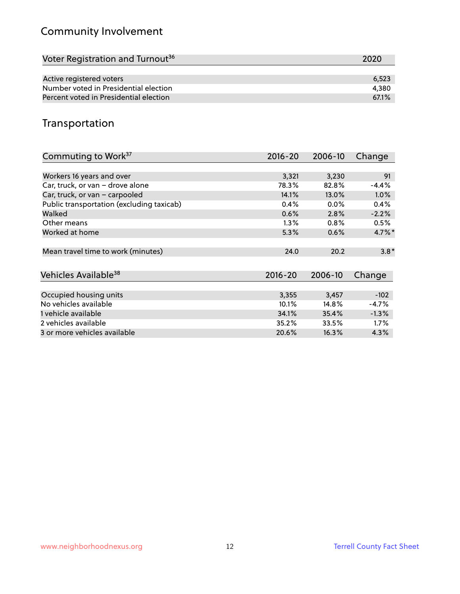# Community Involvement

| Voter Registration and Turnout <sup>36</sup> | 2020  |
|----------------------------------------------|-------|
|                                              |       |
| Active registered voters                     | 6,523 |
| Number voted in Presidential election        | 4,380 |
| Percent voted in Presidential election       | 67.1% |

## Transportation

| Commuting to Work <sup>37</sup>           | 2016-20     | 2006-10 | Change               |
|-------------------------------------------|-------------|---------|----------------------|
|                                           |             |         |                      |
| Workers 16 years and over                 | 3,321       | 3,230   | 91                   |
| Car, truck, or van - drove alone          | 78.3%       | 82.8%   | $-4.4%$              |
| Car, truck, or van - carpooled            | 14.1%       | 13.0%   | 1.0%                 |
| Public transportation (excluding taxicab) | 0.4%        | $0.0\%$ | 0.4%                 |
| Walked                                    | 0.6%        | 2.8%    | $-2.2%$              |
| Other means                               | $1.3\%$     | 0.8%    | 0.5%                 |
| Worked at home                            | 5.3%        | 0.6%    | $4.7\%$ <sup>*</sup> |
|                                           |             |         |                      |
| Mean travel time to work (minutes)        | 24.0        | 20.2    | $3.8*$               |
|                                           |             |         |                      |
| Vehicles Available <sup>38</sup>          | $2016 - 20$ | 2006-10 | Change               |
|                                           |             |         |                      |
| Occupied housing units                    | 3,355       | 3,457   | $-102$               |
| No vehicles available                     | 10.1%       | 14.8%   | $-4.7%$              |
| 1 vehicle available                       | 34.1%       | 35.4%   | $-1.3%$              |
| 2 vehicles available                      | 35.2%       | 33.5%   | 1.7%                 |
| 3 or more vehicles available              | 20.6%       | 16.3%   | 4.3%                 |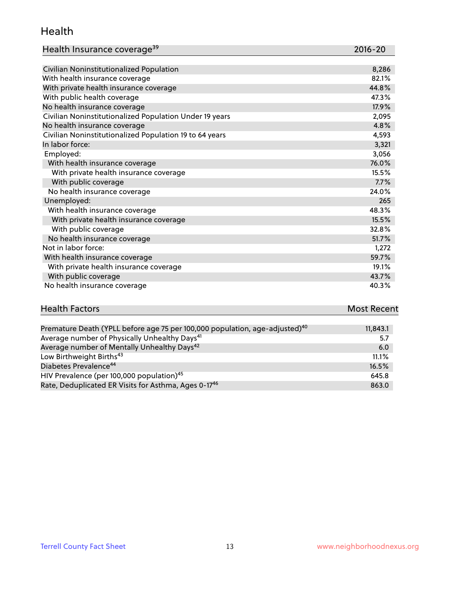#### Health

| Health Insurance coverage <sup>39</sup> | 2016-20 |
|-----------------------------------------|---------|
|-----------------------------------------|---------|

| Civilian Noninstitutionalized Population                | 8,286 |
|---------------------------------------------------------|-------|
| With health insurance coverage                          | 82.1% |
| With private health insurance coverage                  | 44.8% |
| With public health coverage                             | 47.3% |
| No health insurance coverage                            | 17.9% |
| Civilian Noninstitutionalized Population Under 19 years | 2,095 |
| No health insurance coverage                            | 4.8%  |
| Civilian Noninstitutionalized Population 19 to 64 years | 4,593 |
| In labor force:                                         | 3,321 |
| Employed:                                               | 3,056 |
| With health insurance coverage                          | 76.0% |
| With private health insurance coverage                  | 15.5% |
| With public coverage                                    | 7.7%  |
| No health insurance coverage                            | 24.0% |
| Unemployed:                                             | 265   |
| With health insurance coverage                          | 48.3% |
| With private health insurance coverage                  | 15.5% |
| With public coverage                                    | 32.8% |
| No health insurance coverage                            | 51.7% |
| Not in labor force:                                     | 1,272 |
| With health insurance coverage                          | 59.7% |
| With private health insurance coverage                  | 19.1% |
| With public coverage                                    | 43.7% |
| No health insurance coverage                            | 40.3% |

| <b>Health Factors</b> | <b>Most Recent</b> |
|-----------------------|--------------------|
|                       |                    |

| Premature Death (YPLL before age 75 per 100,000 population, age-adjusted) <sup>40</sup> | 11,843.1 |
|-----------------------------------------------------------------------------------------|----------|
| Average number of Physically Unhealthy Days <sup>41</sup>                               | 5.7      |
| Average number of Mentally Unhealthy Days <sup>42</sup>                                 | 6.0      |
| Low Birthweight Births <sup>43</sup>                                                    | 11.1%    |
| Diabetes Prevalence <sup>44</sup>                                                       | 16.5%    |
| HIV Prevalence (per 100,000 population) <sup>45</sup>                                   | 645.8    |
| Rate, Deduplicated ER Visits for Asthma, Ages 0-17 <sup>46</sup>                        | 863.0    |